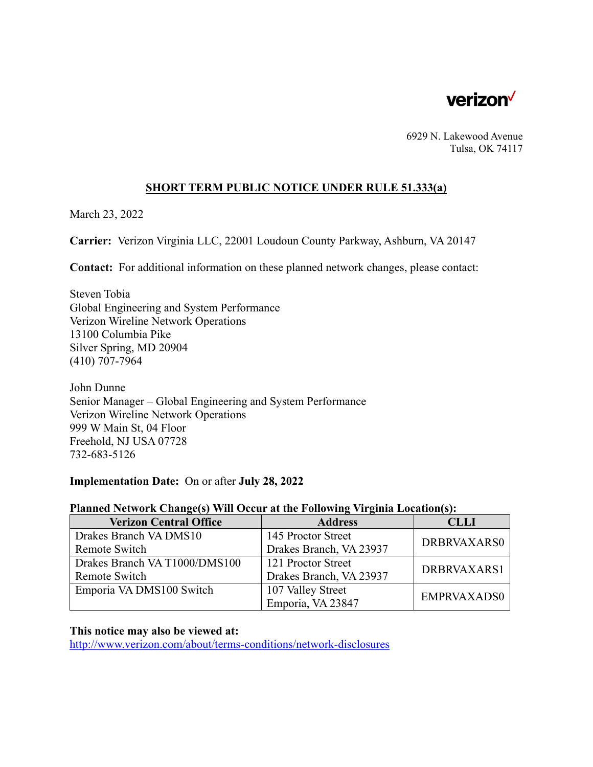

6929 N. Lakewood Avenue Tulsa, OK 74117

### **SHORT TERM PUBLIC NOTICE UNDER RULE 51.333(a)**

March 23, 2022

**Carrier:** Verizon Virginia LLC, 22001 Loudoun County Parkway, Ashburn, VA 20147

**Contact:** For additional information on these planned network changes, please contact:

Steven Tobia Global Engineering and System Performance Verizon Wireline Network Operations 13100 Columbia Pike Silver Spring, MD 20904 (410) 707-7964

John Dunne Senior Manager – Global Engineering and System Performance Verizon Wireline Network Operations 999 W Main St, 04 Floor Freehold, NJ USA 07728 732-683-5126

#### **Implementation Date:** On or after **July 28, 2022**

# **Planned Network Change(s) Will Occur at the Following Virginia Location(s):**

| <b>Verizon Central Office</b> | <b>Address</b>          | <b>CLLI</b> |
|-------------------------------|-------------------------|-------------|
| Drakes Branch VA DMS10        | 145 Proctor Street      | DRBRVAXARS0 |
| Remote Switch                 | Drakes Branch, VA 23937 |             |
| Drakes Branch VA T1000/DMS100 | 121 Proctor Street      | DRBRVAXARS1 |
| Remote Switch                 | Drakes Branch, VA 23937 |             |
| Emporia VA DMS100 Switch      | 107 Valley Street       | EMPRVAXADS0 |
|                               | Emporia, VA 23847       |             |

#### **This notice may also be viewed at:**

 <http://www.verizon.com/about/terms-conditions/network-disclosures>